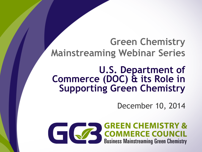### **Green Chemistry Mainstreaming Webinar Series**

# **U.S. Department of Commerce (DOC) & its Role in Supporting Green Chemistry**

December 10, 2014

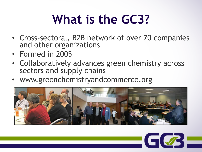# **What is the GC3?**

- Cross-sectoral, B2B network of over 70 companies and other organizations
- Formed in 2005
- Collaboratively advances green chemistry across sectors and supply chains
- www.greenchemistryandcommerce.org



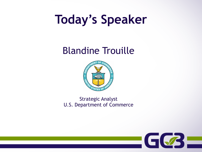## **Today's Speaker**

### Blandine Trouille



Strategic Analyst U.S. Department of Commerce

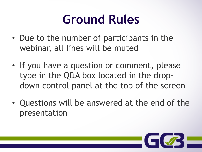## **Ground Rules**

- Due to the number of participants in the webinar, all lines will be muted
- If you have a question or comment, please type in the Q&A box located in the dropdown control panel at the top of the screen
- Questions will be answered at the end of the presentation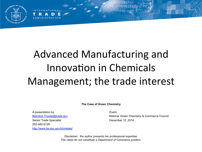

### Advanced Manufacturing and Innovation in Chemicals Management; the trade interest

**The Case of Green Chemistry** 

A presentation by: Event: Senior Trade Specialist **December 10, 2014** 202-482-0129 http://www.ita.doc.gov/td/metals/

**NATIONA** 

Blandine.Trouille@trade.gov Webinar Green Chemistry & Commerce Council

*Disclaimer: the author presents her professional expertise. The views do not constitute a Department of Commerce position.*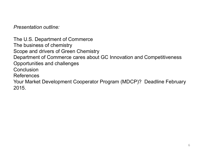*Presentation outline:* 

The U.S. Department of Commerce The business of chemistry Scope and drivers of Green Chemistry Department of Commerce cares about GC Innovation and Competitiveness Opportunities and challenges **Conclusion** References Your Market Development Cooperator Program (MDCP)? Deadline February 2015.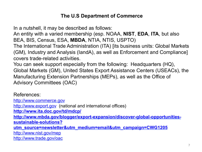#### **The U.S Department of Commerce**

In a nutshell, it may be described as follows: An entity with a varied membership (esp. NOAA, **NIST**, **EDA**, **ITA**, but also BEA, BIS, Census, ESA, **MBDA**, NTIA, NTIS, USPTO) The International Trade Administration (ITA) [its business units: Global Markets (GM), Industry and Analysis (IandA), as well as Enforcement and Compliance] covers trade-related activities. You can seek support especially from the following: Headquarters (HQ), Global Markets (GM), United States Export Assistance Centers (USEACs), the Manufacturing Extension Partnerships (MEPs), as well as the Office of Advisory Committees (OAC)

References: http://www.commerce.gov http://www.export.gov (national and international offices) **http://www.ita.doc.gov/td/mdcp/ http://www.mbda.gov/blogger/export-expansion/discover-global-opportunitiessustainable-solutions? utm\_source=newsletter&utm\_medium=email&utm\_campaign=CWG1205** http://www.nist.gov/mep http://www.trade.gov/oac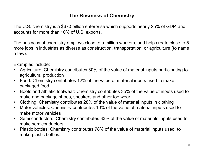#### **The Business of Chemistry**

The U.S. chemistry is a \$670 billion enterprise which supports nearly 25% of GDP, and accounts for more than 10% of U.S. exports.

The business of chemistry employs close to a million workers, and help create close to 5 more jobs in industries as diverse as construction, transportation, or agriculture (to name a few).

Examples include:

- Agriculture: Chemistry contributes 30% of the value of material inputs participating to agricultural production
- Food: Chemistry contributes 12% of the value of material inputs used to make packaged food
- Boots and athletic footwear: Chemistry contributes 35% of the value of inputs used to make and package shoes, sneakers and other footwear
- Clothing: Chemistry contributes 28% of the value of material inputs in clothing
- Motor vehicles: Chemistry contributes 16% of the value of material inputs used to make motor vehicles
- Semi conductors: Chemistry contributes 33% of the value of materials inputs used to make semiconductors.
- Plastic bottles: Chemistry contributes 78% of the value of material inputs used to make plastic bottles.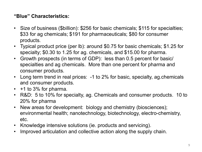#### **"Blue" Characteristics:**

- Size of business (\$billion): \$256 for basic chemicals; \$115 for specialties; \$33 for ag chemicals; \$191 for pharmaceuticals; \$80 for consumer products.
- Typical product price (per lb): around \$0.75 for basic chemicals; \$1.25 for specialty; \$0.30 to 1.25 for ag. chemicals, and \$15.00 for pharma.
- Growth prospects (in terms of GDP): less than 0.5 percent for basic/ specialties and ag chemicals. More than one percent for pharma and consumer products.
- Long term trend in real prices: -1 to 2% for basic, specialty, ag chemicals and consumer products.
- $\cdot$  +1 to 3% for pharma.
- R&D: 5 to 10% for specialty, ag. Chemicals and consumer products. 10 to 20% for pharma
- New areas for development: biology and chemistry (biosciences); environmental health; nanotechnology, biotechnology, electro-chemistry, etc.
- Knowledge intensive solutions (ie. products and servicing).
- Improved articulation and collective action along the supply chain.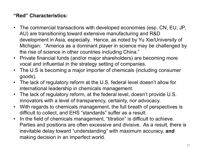#### **"Red" Characteristics:**

- The commercial transactions with developed economies (esp. CN, EU, JP, AU) are transitioning toward extensive manufacturing and R&D development in Asia, especially. Hence, as noted by Yu Xie/University of Michigan: "America as a dominant player in science may be challenged by the rise of science in other countries including China."
- Private financial funds (and/or major shareholders) are becoming more vocal and influential in the strategy setting of companies.
- The U.S is becoming a major importer of chemicals (including consumer goods).
- The lack of regulatory reform at the U.S. federal level doesn't allow for international leadership in chemicals management.
- The lack of regulatory reform, at the federal level, doesn't provide U.S. innovators with a level of transparency, certainty, nor advocacy.
- With regards to chemicals management, the full breath of perspectives is difficult to collect, and EHS "standards" suffer as a result.
- In the field of chemicals management, "titration" is difficult to achieve. Parties and positions are often excessive and divisive. As a result, there is inevitable delay toward "understanding" with maximum accuracy, **and** making decision in an imperfect world.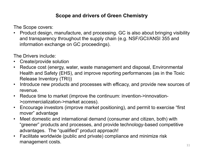#### **Scope and drivers of Green Chemistry**

The Scope covers:

• Product design, manufacture, and processing. GC is also about bringing visibility and transparency throughout the supply chain (e.g. NSF/GCI/ANSI 355 and information exchange on GC proceedings).

The Drivers include:

- Create/provide solution
- Reduce cost (energy, water, waste management and disposal, Environmental Health and Safety (EHS), and improve reporting performances (as in the Toxic Release Inventory (TRI))
- Introduce new products and processes with efficacy, and provide new sources of revenue.
- Reduce time to market (improve the continuum: invention->innovation- >commercialization->market access).
- Encourage investors (improve market positioning), and permit to exercise "first mover" advantage
- Meet domestic and international demand (consumer and citizen, both) with "greener" products and processes, and provide technology-based competitive advantages. The "qualified" product approach!
- Facilitate worldwide (public and private) compliance and minimize risk management costs.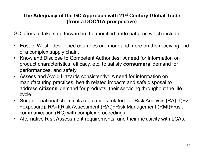#### **The Adequacy of the GC Approach with 21st Century Global Trade (from a DOC/ITA prospective)**

GC offers to take step forward in the modified trade patterns which include:

- East to West: developed countries are more and more on the receiving end of a complex supply chain.
- Know and Disclose to Competent Authorities: A need for information on product characteristics, efficacy, etc. to satisfy **consumers**' demand for performances, and safety.
- Assess and Avoid Hazards consistently: A need for information on manufacturing practices, health related impacts and safe disposal to address **citizens**' demand for products, their servicing throughout the life cycle.
- Surge of national chemicals regulations related to: Risk Analysis (RA)=f(HZ +exposure); RA=f(Risk Assessment (RAt)+Risk Management (RMt)+Risk communication (RC) with complex proceedings.
- Alternative Risk Assessment requirements, and their inclusivity with LCAs.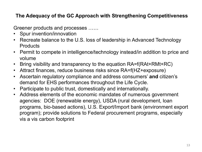#### **The Adequacy of the GC Approach with Strengthening Competitiveness**

Greener products and processes ……

- Spur invention/innovation
- Recreate balance to the U.S. loss of leadership in Advanced Technology **Products**
- Permit to compete in intelligence/technology instead/in addition to price and volume
- Bring visibility and transparency to the equation RA=f(RAt+RMt+RC)
- Attract finances, reduce business risks since RA=f(HZ+exposure)
- Ascertain regulatory compliance and address consumers' **and** citizen's demand for EHS performances throughout the Life Cycle.
- Participate to public trust, domestically and internationally.
- Address elements of the economic mandates of numerous government agencies: DOE (renewable energy), USDA (rural development, loan programs, bio-based actions), U.S. Export/Import bank (environment export program); provide solutions to Federal procurement programs, especially vis a vis carbon footprint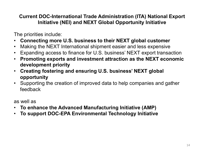#### **Current DOC-International Trade Administration (ITA) National Export Initiative (NEI) and NEXT Global Opportunity Initiative**

The priorities include:

- **Connecting more U.S. business to their NEXT global customer**
- Making the NEXT International shipment easier and less expensive
- Expanding access to finance for U.S. business' NEXT export transaction
- **Promoting exports and investment attraction as the NEXT economic development priority**
- **Creating fostering and ensuring U.S. business' NEXT global opportunity**
- Supporting the creation of improved data to help companies and gather feedback

as well as

- **To enhance the Advanced Manufacturing Initiative (AMP)**
- **To support DOC-EPA Environmental Technology Initiative**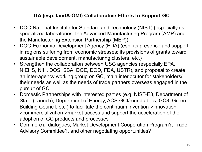#### **ITA (esp. IandA-OMI) Collaborative Efforts to Support GC**

- DOC-National Institute for Standard and Technology (NIST) (especially its specialized laboratories, the Advanced Manufacturing Program (AMP) and the Manufacturing Extension Partnership (MEP))
- DOC-Economic Development Agency (EDA) (esp. its presence and support in regions suffering from economic stresses; its provisions of grants toward sustainable development, manufacturing clusters, etc.)
- Strengthen the collaboration between USG agencies (especially EPA, NIEHS, NIH, DOS, SBA, DOE, DOD, FDA, USTR), and proposal to create an inter-agency working group on GC, main interlocutor for stakeholders/ their needs as well as the needs of trade partners overseas engaged in the pursuit of GC.
- Domestic Partnerships with interested parties (e.g. NIST-E3, Department of State (Launch), Department of Energy, ACS-GCI/roundtables, GC3, Green Building Council, etc.) to facilitate the continuum invention->innovation- >commercialization->market access and support the acceleration of the adoption of GC products and processes
- Commercial dialogues, Market Development Cooperation Program?, Trade Advisory Committee?, and other negotiating opportunities?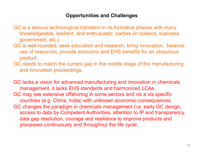#### **Opportunities and Challenges**

- GC is a serious technological transition in its formative phases with many knowledgeable, resilient, and enthusiastic parties (in science, business, government, etc.).
- GC is well-rounded; seek education and research, bring innovation, balance use of resources, provide economic and EHS benefits for an ubiquitous product.
- GC needs to match the current gap in the middle stage of the manufacturing and innovation proceedings.

GC lacks a vision for advanced manufacturing and innovation in chemicals management, it lacks EHS standards and harmonized LCAs. GC may see extensive offshoring in some sectors and vis a vis specific countries (e.g. China, India) with unknown economic consequences. GC changes the paradigm in chemicals management (i.e. early GC design, access to data by Competent Authorities, attention to IP and transparency, data gap resolution, courage and resilience to improve products and processes continuously and throughout the life cycle.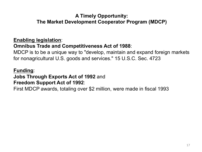#### **A Timely Opportunity: The Market Development Cooperator Program (MDCP)**

#### **Enabling legislation**:

#### **Omnibus Trade and Competitiveness Act of 1988**:

MDCP is to be a unique way to "develop, maintain and expand foreign markets for nonagricultural U.S. goods and services." 15 U.S.C. Sec. 4723

#### **Funding**:

#### **Jobs Through Exports Act of 1992** and **Freedom Support Act of 1992**:

First MDCP awards, totaling over \$2 million, were made in fiscal 1993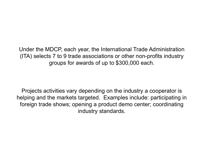Under the MDCP, each year, the International Trade Administration (ITA) selects 7 to 9 trade associations or other non-profits industry groups for awards of up to \$300,000 each.

Projects activities vary depending on the industry a cooperator is helping and the markets targeted. Examples include: participating in foreign trade shows; opening a product demo center; coordinating industry standards.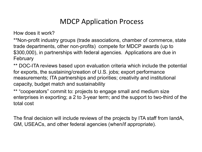### **MDCP Application Process**

How does it work?

\*\*Non-profit industry groups (trade associations, chamber of commerce, state trade departments, other non-profits) compete for MDCP awards (up to \$300,000), in partnerships with federal agencies. Applications are due in February

\*\* DOC-ITA reviews based upon evaluation criteria which include the potential for exports, the sustaining/creation of U.S. jobs; export performance measurements; ITA partnerships and priorities; creativity and institutional capacity, budget match and sustainability

\*\* "cooperators" commit to: projects to engage small and medium size enterprises in exporting; a 2 to 3-year term; and the support to two-third of the total cost

The final decision will include reviews of the projects by ITA staff from IandA, GM, USEACs, and other federal agencies (when/if appropriate).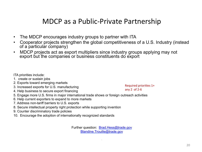### MDCP as a Public-Private Partnership

- The MDCP encourages industry groups to partner with ITA
- Cooperator projects strengthen the global competitiveness of a U.S. Industry (instead of a particular company)
- MDCP projects act as export multipliers since industry groups applying may not export but the companies or business constituents do export

ITA priorities include:

- 1. create or sustain jobs
- 2. Exports toward emerging markets
- 3. Increased exports for U.S. manufacturing
- 4. Help business to secure export financing

Required priorities  $1+$ any  $2$  of  $2-6$ 

- 5. Engage more U.S. firms in major international trade shows or foreign outreach activities
- 6. Help current exporters to expand to more markets
- 7. Address non-tariff barriers to U.S. exports
- 8. Secure intellectual property right protection while supporting invention
- 9. Counter discriminatory trade policies
- 10. Encourage the adoption of internationally recognized standards

Further question: Brad.Hess@trade.gov Blandine.Trouille@trade.gov

•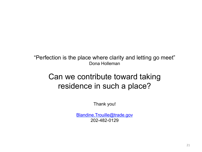"Perfection is the place where clarity and letting go meet" Dona Holleman

### Can we contribute toward taking residence in such a place?

Thank you!

Blandine.Trouille@trade.gov 202-482-0129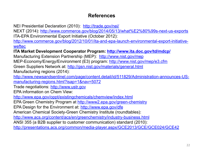#### **References**

NEI Presidential Declaration (2010): http://trade.gov/nei/

NEXT (2014): http://www.commerce.gov/blog/2014/05/13/what%E2%80%99s-next-us-exports ITA-EPA Environmental Export Initiative (October 2012):

http://www.commerce.gov/blog/2012/10/01/ita-and-epa-launch-environmental-export-initiativeweftec

**ITA Market Development Cooperator Program: http://www.ita.doc.gov/td/mdcp/**

Manufacturing Extension Partnership (MEP): http://www.nist.gov/mep

MEP-Economy/Energy/Environment (E3) program: http://www.nist.gov/mep/e3.cfm

Green Suppliers Network at: http://gsn.nist.gov/materials/general.html

Manufacturing regions (2014):

http://www.newsandsentinel.com/page/content.detail/id/511829/Administration-announces-USmanufacturing-regions.html?isap=1&nav=5072

Trade negotiations: http://www.ustr.gov

EPA information on Chem View:

http://www.epa.gov/oppt/existingchemicals/chemview/index.html

EPA Green Chemistry Program at http://www2.epa.gov/green-chemistry

EPA Design for the Environment at: http://www.epa.gov/dfe

American Chemical Society-Green Chemistry Institute (roundtables):

http://www.acs.org/content/acs/en/greenchemistry/industry-business.html

ANSI 355 (a B2B supplier to customer communication) standard (2010):

http://presentations.acs.org/common/media-player.aspx/GCE2013/GCE/GCE024/GCE42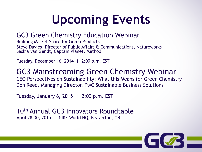# **Upcoming Events**

### GC3 Green Chemistry Education Webinar

Building Market Share for Green Products Steve Davies, Director of Public Affairs & Communications, Natureworks Saskia Van Gendt, Captain Planet, Method

Tuesday, December 16, 2014 | 2:00 p.m. EST

GC3 Mainstreaming Green Chemistry Webinar CEO Perspectives on Sustainability: What this Means for Green Chemistry Don Reed, Managing Director, PwC Sustainable Business Solutions

Tuesday, January 6, 2015 | 2:00 p.m. EST

10th Annual GC3 Innovators Roundtable April 28-30, 2015 | NIKE World HQ, Beaverton, OR